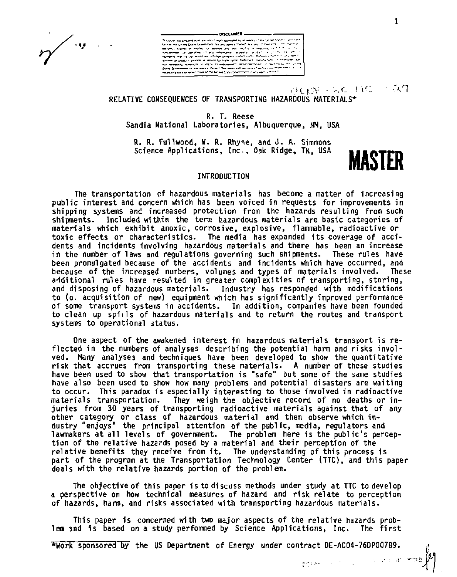$\sim$ 

# OISCLAIMER e the military gallery gas and a military of any class and as<br>higher or sufficiently and the military and all company of a special company<br>that are military of sufficiently assumed a company of company .<br>Annune yr yng agony Hengri The yaak am<br>Byrs yr lehio i mirinta i me Linsap (navn Stavi

ALCON SECURE - 547

# **RELATIVE CONSEQUENCES OF TRANSPORTING HAZARDOUS MATERIALS\***

**R. T. Reese**  Sandia National Laboratories, Albuquerque, NM, USA

**R. R. Fullwood, W. ft. Rhyne, and J. A. Simmons Science Applications, Inc., Oak Ridge, TN, USA MASTER** 

The transportation of hazardous materials has become a matter of increasing public interest and concern which has been voiced in requests for improvements in shipping systems and increased protection from the hazards resulting from such shipments. Included within the terra hazardous materials are basic categories of materials which exhibit anoxic, corrosive, explosive, flammable, radioactive or toxic effects or characteristics. The media has expanded Its coverage of accidents and incidents involving hazardous materials and there has been an increase<br>in the number of laws and regulations governing such shipments. These rules have<br>been promulgated because of the accidents and incidents wh because of the increased numbers, volumes and types of materials involved. These additional rules have resulted in greater complexities of transporting, storing, and disposing of hazardous materials. Industry has responded with modifications to (o, acquisition of new) equipment which has significantly improved performance of some transport systems in accidents. In addition, companies have been founded to clean up spills of hazardous materials and to return the routes and transport systems to operational status.

One aspect of the awakened interest in hazardous materials transport is reflected in the numbers of analyses describing the potential harm and risks involved. Many analyses and techniques have been developed to show the quantitative risk that accrues from transporting these materials. A number of these studies have been used to show that transportation is "safe" but some of the same studies have also been used to show how many problems and potential disasters are waiting to occur. This paradox is especially interesting to those involved in radioactive materials transportation. They weigh the objective record of no deaths or injuries from 30 years of transporting radioactive materials against that of any other category or class of hazardous material and then observe which industry "enjoys" the principal attention of the public, media, regulators and<br>lawmakers at all levels of government. The problem here is the public's percep-<br>tion of the relative hazards posed by a material and their perce relative Denefits they receive from 1t. The understanding of this process is part of the program at the Transportation Technology Center (TTC), and this paper deals with the relative hazards portion of the problem.

The objective of this paper is to discuss methods under study at TTC to develop a perspective on how technical measures of hazard and risk relate to perception of hazards, harm, and risks associated with transporting hazardous materials.

This paper is concerned with two major aspects of the relative hazards problem and is based on a study performed by Science Applications, Inc. The first

•Work sponsored by the US Department of Energy under contract DE-AC04-76DP00789.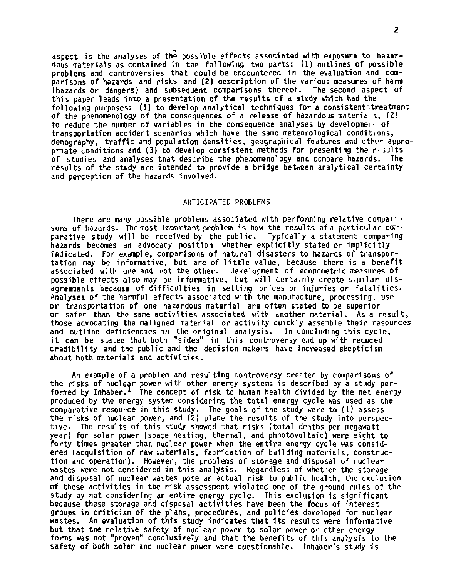aspect is the analyses of the possible effects associated with exposure to hazardous materials as contained in the following two parts: (1) outlines of possible problems and controversies that could be encountered in the evaluation and comparisons of hazards and risks and (2) description of the various measures of harm (hazards or dangers) and subsequent comparisons thereof. The second aspect of this paper leads into a presentation of the results of a study which had the following purposes: (1) to develop analytical techniques for a consistent treatment of the phenomenology of the consequences of a release of hazardous materia  $\sqrt{2}$ , (2) to reduce the number of variables in the consequence analyses by developmei of transportation accident scenarios which have the same meteorological conditions, demography, traffic and population densities, geographical features and other appropriate conditions and (3) to develop consistent methods for presenting the r suits of studies and analyses that describe the phenomenology and compare hazards. The results of the study are intended to provide a bridge between analytical certainty and perception of the hazards involved.

# ANTICIPATED PROBLEMS

There are many possible problems associated with performing relative compai- • sons of hazards. The most important problem is how the results of a particular correparative study will be received by the public. Typically a statement comparing hazards becomes an advocacy position whether explicitly stated or implicitly indicated. For example, comparisons of natural disasters to hazards of transportation may be informative, but are of little value, because there is a benefit associated with one and not the other. Development of econometric measures of possible effects also may be informative, but will certainly create similar disagreements because of difficulties in setting prices on injuries or fatalities. Analyses of the harmful effects associated with the manufacture, processing, use or transportation of one hazardous material are often stated to be superior or safer than the same activities associated with another material. As a result, those advocating the maligned material or activity quickly assemble their resources and outline deficiencies in the original analysis. In concluding this cycle, i t can be stated that both "sides" in this controversy end up with reduced credibility and the public and the decision makers have increased skepticism about both materials and activities.

An example of a problem and resulting controversy created by comparisons of the risks of nuclear power with other energy systems is described by a study performed by Inhaber.<sup>1</sup> The concept of risk to human health divided by the net energy produced by the energy system considering the total energy cycle was used as the comparative resource in this study. The goals of the study were to (1) assess the risks of nuclear power, and (2) place the results of the study into perspective. The results of this study showed that risks (total deaths per megawatt year) for solar power (space heating, thermal, and phhotovoltaic) were eight to forty times greater than nuclear power when the entire energy cycle was considered (acquisition of raw Laterials, fabrication of building materials, construction and operation). However, the problems of storage and disposal of nuclear wastes were not considered in this analysis. Regardless of whether the storage and disposal of nuclear wastes pose an actual risk to public health, the exclusion of these activities in the risk assessment violated one of the ground rules of the study by not considering an entire energy cycle. This exclusion is significant because these storage and disposal activities have been the focus of interest groups in criticism of the plans, procedures, and policies developed for nuclear wastes. An evaluation of this study indicates that its results were informative but that the relative safety of nuclear power to solar power or other energy forms was not "proven" conclusively and that the benefits of this analysis to the safety of both solar and nuclear power were questionable. Inhaber's study is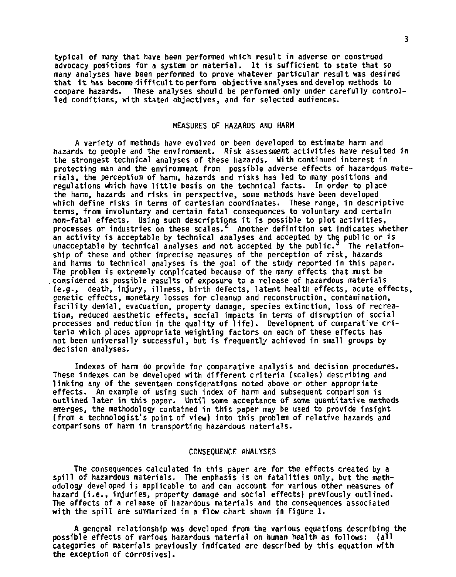typical of many that have been performed which resul t in adverse or construed advocacy positions for a system or material. It is sufficient to state that so many analyses have been performed to prove whatever particular result was desired that it has become difficult to perform objective analyses and develop methods to compare hazards. These analyses should be performed only under carefully controlled conditions, with stated objectives, and for selected audiences.

#### MEASURES OF HAZARDS AND HARM

A variety of methods have evolved or been developed to estimate harm and hazards to people and the environment. Risk assessment activities have resulted in the strongest technical analyses of these hazards. With continued interest in protecting man and the environment from possible adverse effects of hazardous materials, the perception of harm, hazards and risks has led to many positions and regulations which have little basis on the technical facts. In order to place the harm, hazards and risks in perspective, some methods have been developed which define risks in terms of cartesian coordinates. These range, in descriptive terms, from involuntary and certain fatal consequences to voluntary and certain non-fatal effects. Using such descriptions it is possible to plot activities, processes or industries on these scales.<sup>2</sup> Another definition set indicates whether an activity is acceptable by technical analyses and accepted by the public or is unacceptable by technical analyses and not accepted by the public.<sup>3</sup> The relationship of these and other imprecise measures of the perception of risk , hazards and harms to technical analyses is the goal of the study reported in this paper. The problem is extremely complicated because of the many effects that must be .considered as possible results of exposure to a release of hazardous materials (e.g., death, injury, illness, birth defects, latent health effects, acute effects, cenetic effects, monetary losses for cleanup and reconstruction, contamination, facility denial, evacuation, property damage, species extinction, loss of recreation, reduced aesthetic effects, social impacts in terms of disruption of social processes and reduction in the quality of life). Development of comparative criteria which places appropriate weighting factors on each of these effects has not been universally successful, but is frequently achieved in small groups by decision analyses.

Indexes of harm do provide for comparative analysis and decision procedures. These indexes can be developed with different criteria (scales) describing and linking any of the seventeen considerations noted above or other appropriate effects. An example of using such index of harm and subsequent comparison is outlined later in this paper. Until some acceptance of some quantitative methods emerges, the methodology contained in this paper may be used to provide insight (from a technologist's point of view) into this problem of relative hazards and comparisons of harm in transporting hazardous materials .

#### CONSEQUENCE ANALYSES

The consequences calculated in this paper are for the effects created by a spill of hazardous materials. The emphasis is on fatalities only, but the methodology developed i i applicable to and can account for various other measures of hazard (i.e., injuries, property damage and social effects) previously outlined. The effects of a release of hazardous materials and the consequences associated with the spill are summarized in a flow chart shown in Figure 1.

A general relationship was developed from the various equations describing the possible effects of various hazardous material on human health as follows: (all categories of materials previously indicated are described by this equation with the exception of corrosives).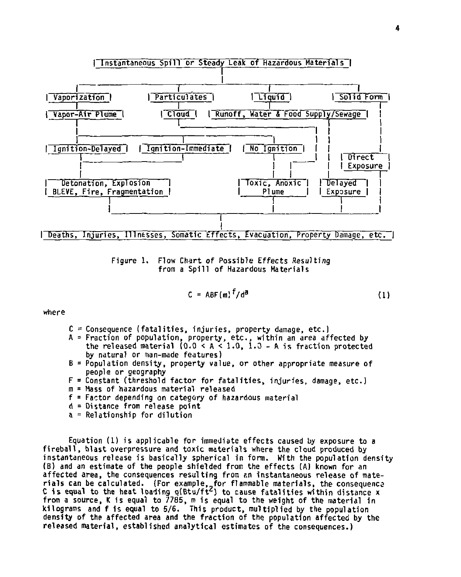

Figure 1, Flow Chart of Possible Effects Resulting from a Spill of Hazardous Materials

$$
C = ABF(m)^{f}/d^{a}
$$
 (1)

where

- $C =$  Consequence (fatalities, injuries, property damage, etc.)
- A = Fraction of population, property, etc., within an area affected by the released material (0.0 < A < 1.0, 1.0 A is fraction protected by natural or man-made features)
- B = Population density, property value, or other appropriate measure of people or geography
- F = Constant (threshold factor for fatalities, injuries, damage, etc.)
- m = Mass of hazardous material released
- f = Factor depending on category of hazardous material
- d = Distance from release point
- a = Relationship for dilution

Equation (1) is applicable for immediate effects caused by exposure to a fireball, blast overpressure and toxic materials where the cloud produced by instantaneous release is basically spherical in form. With the population density (B) and an estimate of the people shielded from the effects (A) known for an affected area, the consequences resulting from an instantaneous release of materials can be calculated. (For example, for flammable materials, the consequence<br>C is equal to the heat loading q(Btu/ft<sup>2</sup>) to cause fatalities within distance x from a source, K is equal to 7785, m is equal to the weight of the material in kilograms and f is equal to 5/6. This product, multiplied by the population density of the affected area and the fraction of the population affected by the released material, established analytical estimates of the consequences.)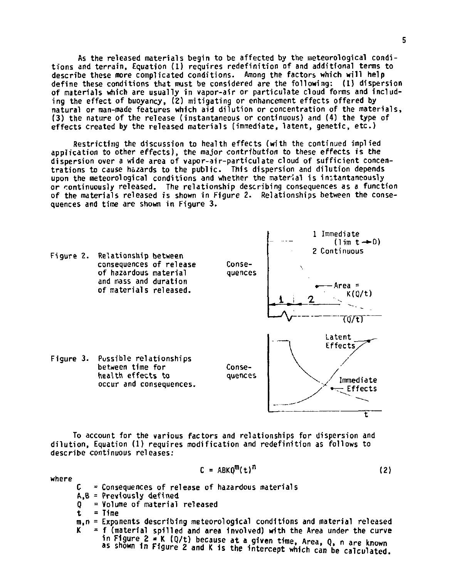As the released materials begin to be affected by the meteorological conditions and terrain, Equation (1) requires redefinition of and additional terms to describe these more complicated conditions. Among the factors which will help define these conditions that must be considered are the following: (1) dispersion of materials which are usually in vapor-air or particulate cloud forms and including the effect of buoyancy, (2) mitigating or enhancement effects offered by natural or man-made features which aid dilution or concentration of the materials, (3) the nature of the release (instantaneous or continuous) and (4) the type of effects created by the released materials (immediate, latent, genetic, etc.)

Restricting the discussion to health effects (with the continued implied application to other effects), the major contribution to these effects is the dispersion over a wide area of vapor-air-particulate cloud of sufficient concentrations to cause hazards to the public. This dispersion and dilution depends upon the meteorological conditions and whether the material is instantancously or continuously released. The relationship describing consequences as a function of the materials released is shown in Figure 2. Relationships between the consequences and time are shown in Figure 3.



To account for the various factors and relationships for dispersion and dilution, Equation (1) requires modification and redefinition as follows to describe continuous releases:

$$
C = ABKQ^{m}(t)^{n}
$$
 (2)

**where** 

- **Consequences of release of hazardous materials**
- **C A,B = Previously defined**
- **Q = Volume of material released**

**= Time** 

**t m,n = Exponents describing meteorological conditions and material released K - f (material spilled and area involved) with the Area under the curve in Figure 2 • K (Q/t) because at a given time, Area, Q, n are known as shown in Figure 2 and K 1s the Intercept which can be calculated.**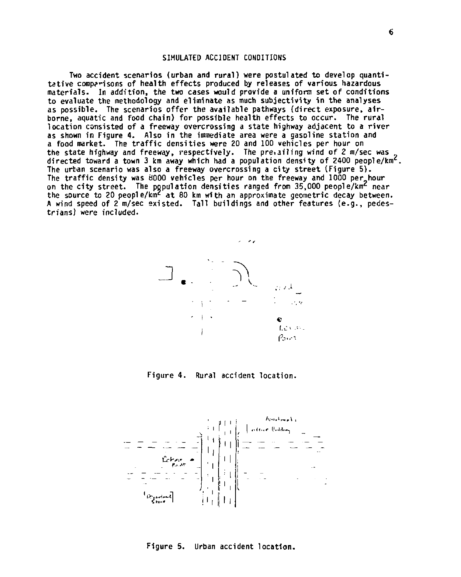### SIMULATED ACCIDENT CONDITIONS

Two accident scenarios (urban and rural) were postulated to develop quantitative comparisons of health effects produced by releases of various hazardous materials. In addition, the two cases would provide a uniform set of conditions to evaluate the methodology and eliminate as much subjectivity in the analyses as possible. The scenarios offer the available pathways (direct exposure, airborne, aquatic and food chain) for possible health effects to occur. The rural location consisted of a freeway overcrossing a state highway adjacent to a river as shown in Figure 4. Also in the immediate area were a gasoline station and a food market. The traffic densities were 20 and 100 vehicles per hour on the state highway and freeway, respectively. The prevailing wind of 2 m/sec was directed toward a town 3 km away which had a population density of 2400 people/km<sup>c</sup>. The urban scenario was also a freeway overcrossing a city street (Figure 5). The traffic density was 8000 vehicles per hour on the freeway and 1000 per hour on the city street. The population densities ranged from 35,000 people/km<sup>2</sup> near the source to 20 people/km<sup>2</sup> at 80 km with an approximate geometric decay between. A wind speed of 2 m/sec existed. Tall buildings and other features (e.g., pedestrians) were included.



Figure 4. Rural accident location.



Figure 5. Urban accident location .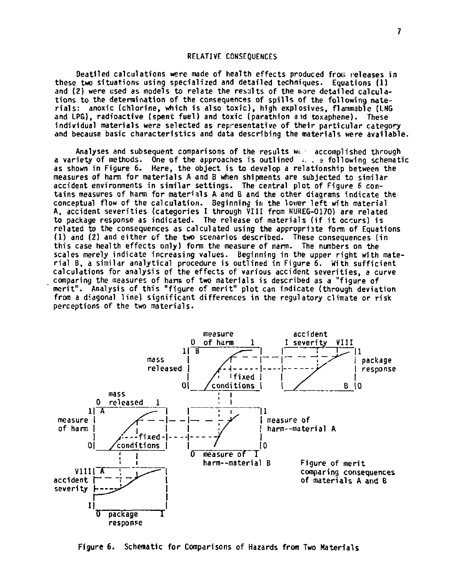# RELATIVE CONSEQUENCES

Deatiled calculations were made of health effects produced from releases in these two situations using specialized and detailed techniques. Equations (1) and (2) were used as models to relate the results of the more detailed calculations to the determination of the consequences of spill s of the following materials: anoxic (chlorine, which is also toxic), high explosives, flammable (LNG and LPG), radioactive (spent fuel) and toxic (parathion and toxaphene). These individual materials were selected as representative of their particular category and because basic characteristics and data describing the materials were available.

Analyses and subsequent comparisons of the results wi. • accomplished through a variety of methods. One of the approaches is outlined  $\ldots$  is following schematic as shown in Figure 6. Here, the object is to develop a relationship between the measures of harm for materials A and B when shipments are subjected to similar accident environments in similar settings. The central plot of Figure 6 contains measures of harm for materials A and B and the other diagrams indicate the conceptual flow of the calculation. Beginning in the lower left with material<br>A, accident severities (categories I through VIII from NUREG-Ol7O) are related<br>to package response as indicated. The release of materials (if related to the consequences as calculated using the appropriate form of Equations (1) and (2) and either of the two scenarios described. These consequences (in<br>this case health effects only) form the measure of narm. The numbers on the scales merely indicate increasing values. Beginning in the upper right with material B, a similar analytical procedure is outlined in Figure 6. With sufficient calculations for analysis of the effects of various accident severities , a curve comparing the measures of harm of two materials is described as a "figure of merit". Analysis of this "figure of merit" plot can indicate (through deviation from a diagonal line) significant differences in the regulatory climate or risk perceptions of the two materials .



Figure 6. Schematic for Comparisons of Hazards from Two Materials